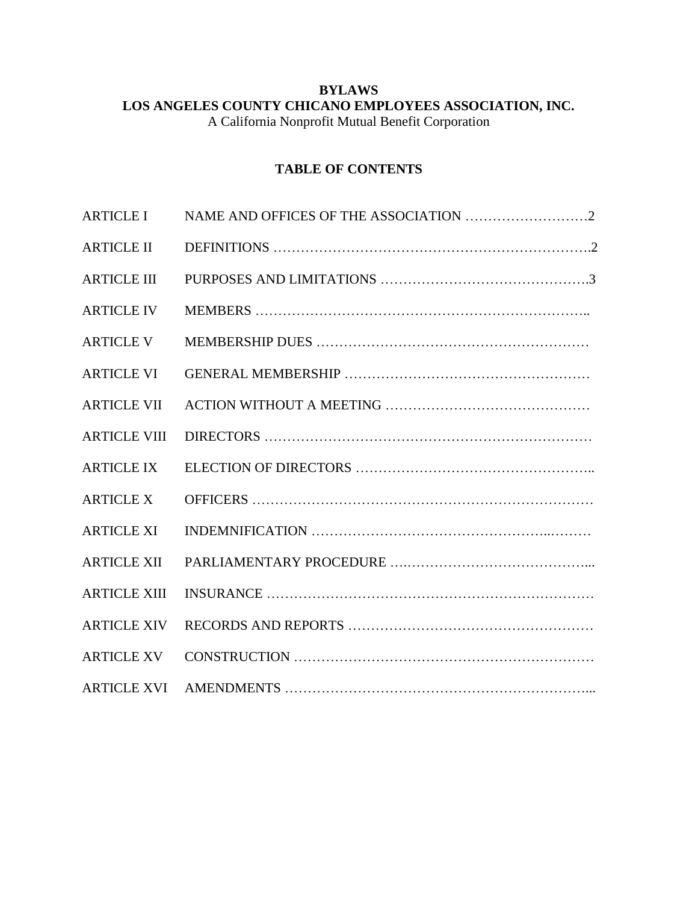# **BYLAWS LOS ANGELES COUNTY CHICANO EMPLOYEES ASSOCIATION, INC.**

A California Nonprofit Mutual Benefit Corporation

# **TABLE OF CONTENTS**

| <b>ARTICLE I</b>    |  |
|---------------------|--|
| <b>ARTICLE II</b>   |  |
| <b>ARTICLE III</b>  |  |
| <b>ARTICLE IV</b>   |  |
| <b>ARTICLE V</b>    |  |
| <b>ARTICLE VI</b>   |  |
| <b>ARTICLE VII</b>  |  |
| <b>ARTICLE VIII</b> |  |
| <b>ARTICLE IX</b>   |  |
| <b>ARTICLE X</b>    |  |
| <b>ARTICLE XI</b>   |  |
| <b>ARTICLE XII</b>  |  |
| <b>ARTICLE XIII</b> |  |
| <b>ARTICLE XIV</b>  |  |
| <b>ARTICLE XV</b>   |  |
| <b>ARTICLE XVI</b>  |  |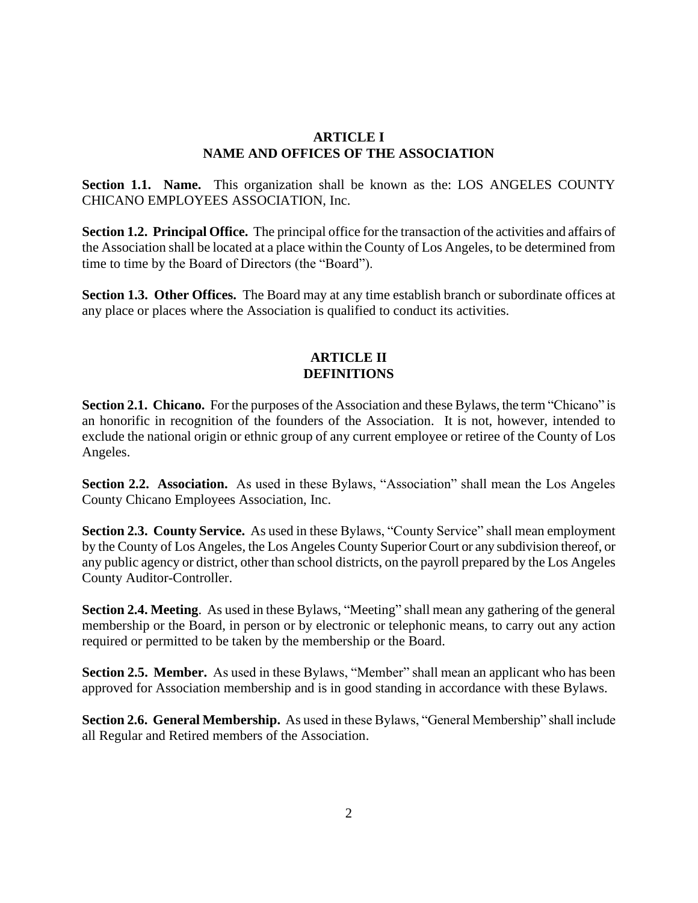### **ARTICLE I NAME AND OFFICES OF THE ASSOCIATION**

**Section 1.1. Name.** This organization shall be known as the: LOS ANGELES COUNTY CHICANO EMPLOYEES ASSOCIATION, Inc.

**Section 1.2. Principal Office.** The principal office for the transaction of the activities and affairs of the Association shall be located at a place within the County of Los Angeles, to be determined from time to time by the Board of Directors (the "Board").

**Section 1.3. Other Offices.** The Board may at any time establish branch or subordinate offices at any place or places where the Association is qualified to conduct its activities.

### **ARTICLE II DEFINITIONS**

**Section 2.1. Chicano.** For the purposes of the Association and these Bylaws, the term "Chicano" is an honorific in recognition of the founders of the Association. It is not, however, intended to exclude the national origin or ethnic group of any current employee or retiree of the County of Los Angeles.

**Section 2.2. Association.** As used in these Bylaws, "Association" shall mean the Los Angeles County Chicano Employees Association, Inc.

**Section 2.3. County Service.** As used in these Bylaws, "County Service" shall mean employment by the County of Los Angeles, the Los Angeles County Superior Court or any subdivision thereof, or any public agency or district, other than school districts, on the payroll prepared by the Los Angeles County Auditor-Controller.

**Section 2.4. Meeting**. As used in these Bylaws, "Meeting" shall mean any gathering of the general membership or the Board, in person or by electronic or telephonic means, to carry out any action required or permitted to be taken by the membership or the Board.

**Section 2.5. Member.** As used in these Bylaws, "Member" shall mean an applicant who has been approved for Association membership and is in good standing in accordance with these Bylaws.

**Section 2.6. General Membership.** As used in these Bylaws, "General Membership" shall include all Regular and Retired members of the Association.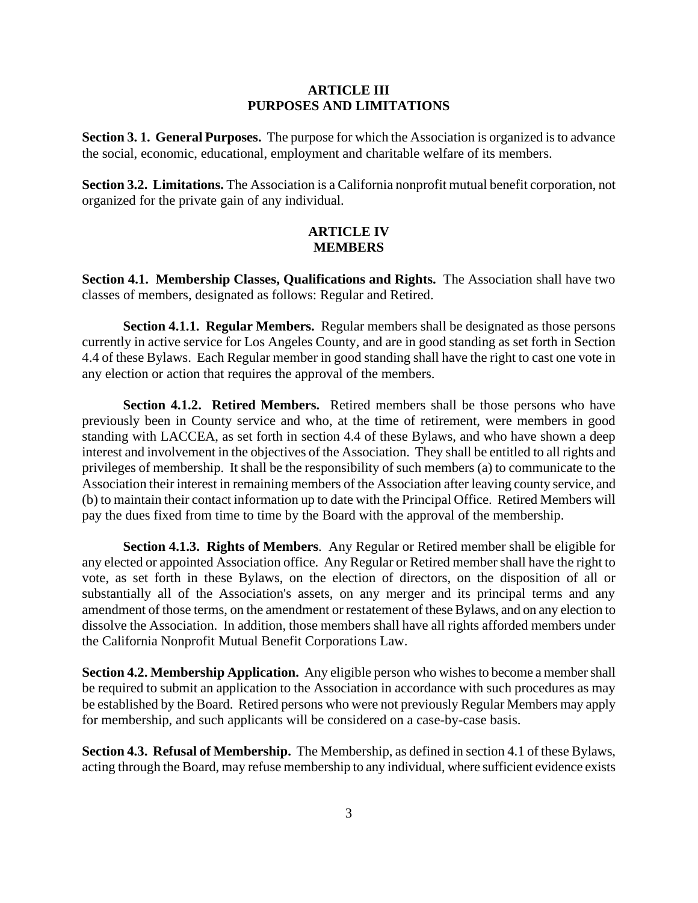### **ARTICLE III PURPOSES AND LIMITATIONS**

**Section 3. 1. General Purposes.** The purpose for which the Association is organized is to advance the social, economic, educational, employment and charitable welfare of its members.

**Section 3.2. Limitations.** The Association is a California nonprofit mutual benefit corporation, not organized for the private gain of any individual.

### **ARTICLE IV MEMBERS**

**Section 4.1. Membership Classes, Qualifications and Rights.** The Association shall have two classes of members, designated as follows: Regular and Retired.

**Section 4.1.1. Regular Members.** Regular members shall be designated as those persons currently in active service for Los Angeles County, and are in good standing as set forth in Section 4.4 of these Bylaws. Each Regular member in good standing shall have the right to cast one vote in any election or action that requires the approval of the members.

**Section 4.1.2. Retired Members.** Retired members shall be those persons who have previously been in County service and who, at the time of retirement, were members in good standing with LACCEA, as set forth in section 4.4 of these Bylaws, and who have shown a deep interest and involvement in the objectives of the Association. They shall be entitled to all rights and privileges of membership. It shall be the responsibility of such members (a) to communicate to the Association their interest in remaining members of the Association after leaving county service, and (b) to maintain their contact information up to date with the Principal Office. Retired Members will pay the dues fixed from time to time by the Board with the approval of the membership.

**Section 4.1.3. Rights of Members**. Any Regular or Retired member shall be eligible for any elected or appointed Association office. Any Regular or Retired member shall have the right to vote, as set forth in these Bylaws, on the election of directors, on the disposition of all or substantially all of the Association's assets, on any merger and its principal terms and any amendment of those terms, on the amendment or restatement of these Bylaws, and on any election to dissolve the Association. In addition, those members shall have all rights afforded members under the California Nonprofit Mutual Benefit Corporations Law.

**Section 4.2. Membership Application.** Any eligible person who wishes to become a member shall be required to submit an application to the Association in accordance with such procedures as may be established by the Board. Retired persons who were not previously Regular Members may apply for membership, and such applicants will be considered on a case-by-case basis.

**Section 4.3. Refusal of Membership.** The Membership, as defined in section 4.1 of these Bylaws, acting through the Board, may refuse membership to any individual, where sufficient evidence exists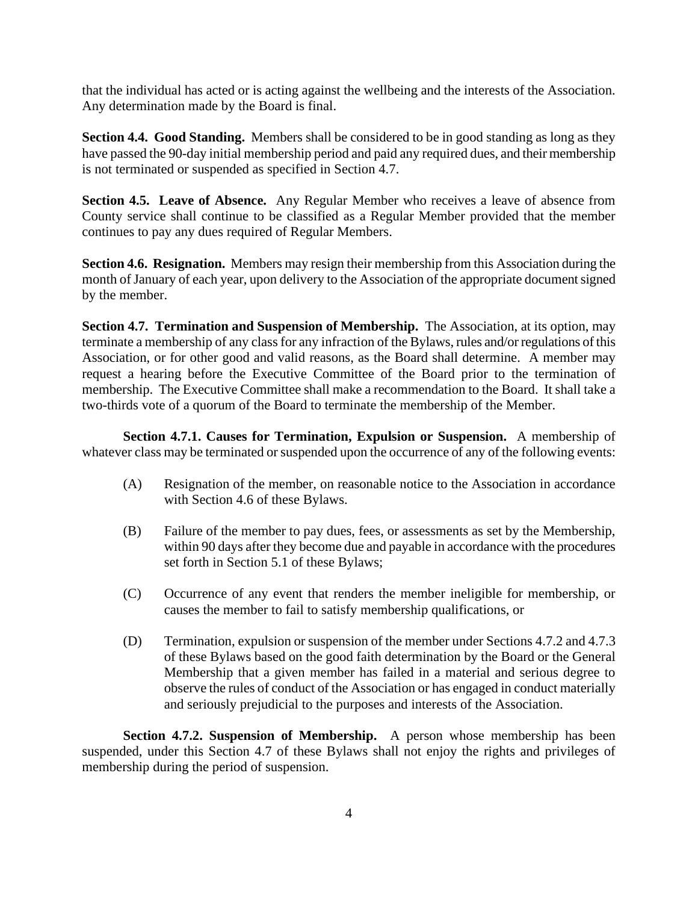that the individual has acted or is acting against the wellbeing and the interests of the Association. Any determination made by the Board is final.

**Section 4.4. Good Standing.** Members shall be considered to be in good standing as long as they have passed the 90-day initial membership period and paid any required dues, and their membership is not terminated or suspended as specified in Section 4.7.

**Section 4.5. Leave of Absence.** Any Regular Member who receives a leave of absence from County service shall continue to be classified as a Regular Member provided that the member continues to pay any dues required of Regular Members.

**Section 4.6. Resignation.** Members may resign their membership from this Association during the month of January of each year, upon delivery to the Association of the appropriate document signed by the member.

**Section 4.7. Termination and Suspension of Membership.** The Association, at its option, may terminate a membership of any class for any infraction of the Bylaws, rules and/or regulations of this Association, or for other good and valid reasons, as the Board shall determine. A member may request a hearing before the Executive Committee of the Board prior to the termination of membership. The Executive Committee shall make a recommendation to the Board. It shall take a two-thirds vote of a quorum of the Board to terminate the membership of the Member.

**Section 4.7.1. Causes for Termination, Expulsion or Suspension.** A membership of whatever class may be terminated or suspended upon the occurrence of any of the following events:

- (A) Resignation of the member, on reasonable notice to the Association in accordance with Section 4.6 of these Bylaws.
- (B) Failure of the member to pay dues, fees, or assessments as set by the Membership, within 90 days after they become due and payable in accordance with the procedures set forth in Section 5.1 of these Bylaws;
- (C) Occurrence of any event that renders the member ineligible for membership, or causes the member to fail to satisfy membership qualifications, or
- (D) Termination, expulsion or suspension of the member under Sections 4.7.2 and 4.7.3 of these Bylaws based on the good faith determination by the Board or the General Membership that a given member has failed in a material and serious degree to observe the rules of conduct of the Association or has engaged in conduct materially and seriously prejudicial to the purposes and interests of the Association.

**Section 4.7.2. Suspension of Membership.** A person whose membership has been suspended, under this Section 4.7 of these Bylaws shall not enjoy the rights and privileges of membership during the period of suspension.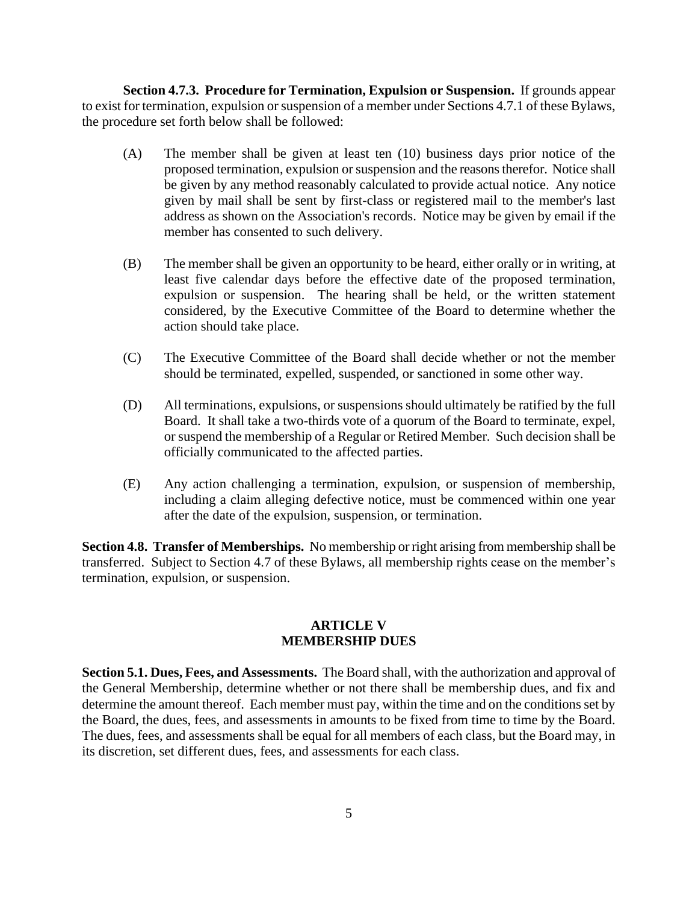**Section 4.7.3. Procedure for Termination, Expulsion or Suspension.** If grounds appear to exist for termination, expulsion or suspension of a member under Sections 4.7.1 of these Bylaws, the procedure set forth below shall be followed:

- (A) The member shall be given at least ten (10) business days prior notice of the proposed termination, expulsion or suspension and the reasons therefor. Notice shall be given by any method reasonably calculated to provide actual notice. Any notice given by mail shall be sent by first-class or registered mail to the member's last address as shown on the Association's records. Notice may be given by email if the member has consented to such delivery.
- (B) The member shall be given an opportunity to be heard, either orally or in writing, at least five calendar days before the effective date of the proposed termination, expulsion or suspension. The hearing shall be held, or the written statement considered, by the Executive Committee of the Board to determine whether the action should take place.
- (C) The Executive Committee of the Board shall decide whether or not the member should be terminated, expelled, suspended, or sanctioned in some other way.
- (D) All terminations, expulsions, or suspensions should ultimately be ratified by the full Board. It shall take a two-thirds vote of a quorum of the Board to terminate, expel, or suspend the membership of a Regular or Retired Member. Such decision shall be officially communicated to the affected parties.
- (E) Any action challenging a termination, expulsion, or suspension of membership, including a claim alleging defective notice, must be commenced within one year after the date of the expulsion, suspension, or termination.

**Section 4.8. Transfer of Memberships.** No membership or right arising from membership shall be transferred. Subject to Section 4.7 of these Bylaws, all membership rights cease on the member's termination, expulsion, or suspension.

#### **ARTICLE V MEMBERSHIP DUES**

**Section 5.1. Dues, Fees, and Assessments.** The Board shall, with the authorization and approval of the General Membership, determine whether or not there shall be membership dues, and fix and determine the amount thereof. Each member must pay, within the time and on the conditions set by the Board, the dues, fees, and assessments in amounts to be fixed from time to time by the Board. The dues, fees, and assessments shall be equal for all members of each class, but the Board may, in its discretion, set different dues, fees, and assessments for each class.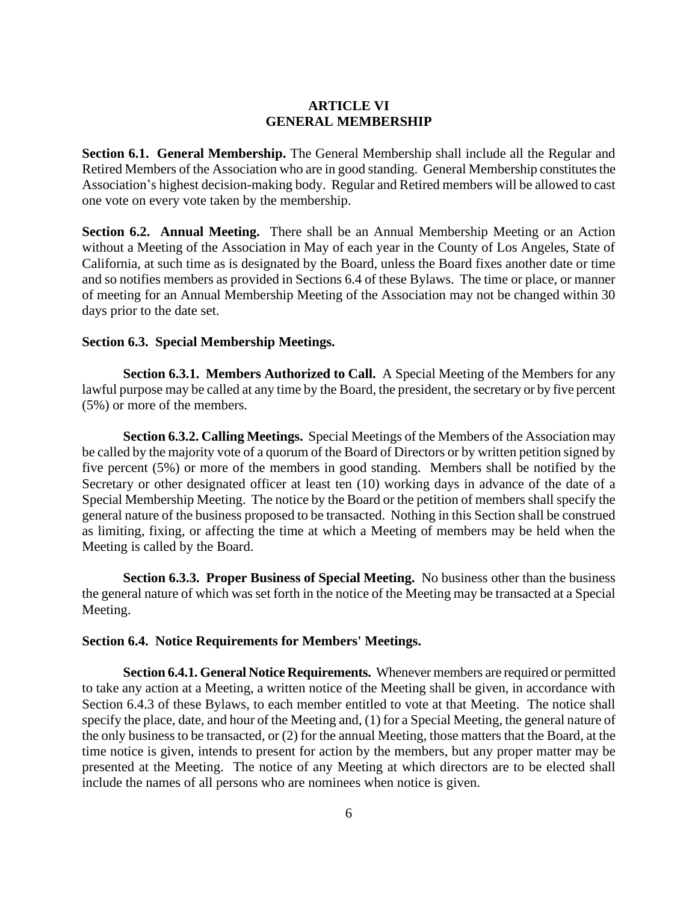### **ARTICLE VI GENERAL MEMBERSHIP**

**Section 6.1. General Membership.** The General Membership shall include all the Regular and Retired Members of the Association who are in good standing. General Membership constitutes the Association's highest decision-making body. Regular and Retired members will be allowed to cast one vote on every vote taken by the membership.

**Section 6.2. Annual Meeting.** There shall be an Annual Membership Meeting or an Action without a Meeting of the Association in May of each year in the County of Los Angeles, State of California*,* at such time as is designated by the Board, unless the Board fixes another date or time and so notifies members as provided in Sections 6.4 of these Bylaws. The time or place, or manner of meeting for an Annual Membership Meeting of the Association may not be changed within 30 days prior to the date set.

### **Section 6.3. Special Membership Meetings.**

**Section 6.3.1. Members Authorized to Call.** A Special Meeting of the Members for any lawful purpose may be called at any time by the Board, the president, the secretary or by five percent (5%) or more of the members.

**Section 6.3.2. Calling Meetings.** Special Meetings of the Members of the Association may be called by the majority vote of a quorum of the Board of Directors or by written petition signed by five percent (5%) or more of the members in good standing. Members shall be notified by the Secretary or other designated officer at least ten (10) working days in advance of the date of a Special Membership Meeting. The notice by the Board or the petition of members shall specify the general nature of the business proposed to be transacted. Nothing in this Section shall be construed as limiting, fixing, or affecting the time at which a Meeting of members may be held when the Meeting is called by the Board.

**Section 6.3.3. Proper Business of Special Meeting.** No business other than the business the general nature of which was set forth in the notice of the Meeting may be transacted at a Special Meeting.

#### **Section 6.4. Notice Requirements for Members' Meetings.**

**Section 6.4.1. General Notice Requirements.** Whenever members are required or permitted to take any action at a Meeting, a written notice of the Meeting shall be given, in accordance with Section 6.4.3 of these Bylaws, to each member entitled to vote at that Meeting. The notice shall specify the place, date, and hour of the Meeting and, (1) for a Special Meeting, the general nature of the only business to be transacted, or (2) for the annual Meeting, those matters that the Board, at the time notice is given, intends to present for action by the members, but any proper matter may be presented at the Meeting. The notice of any Meeting at which directors are to be elected shall include the names of all persons who are nominees when notice is given.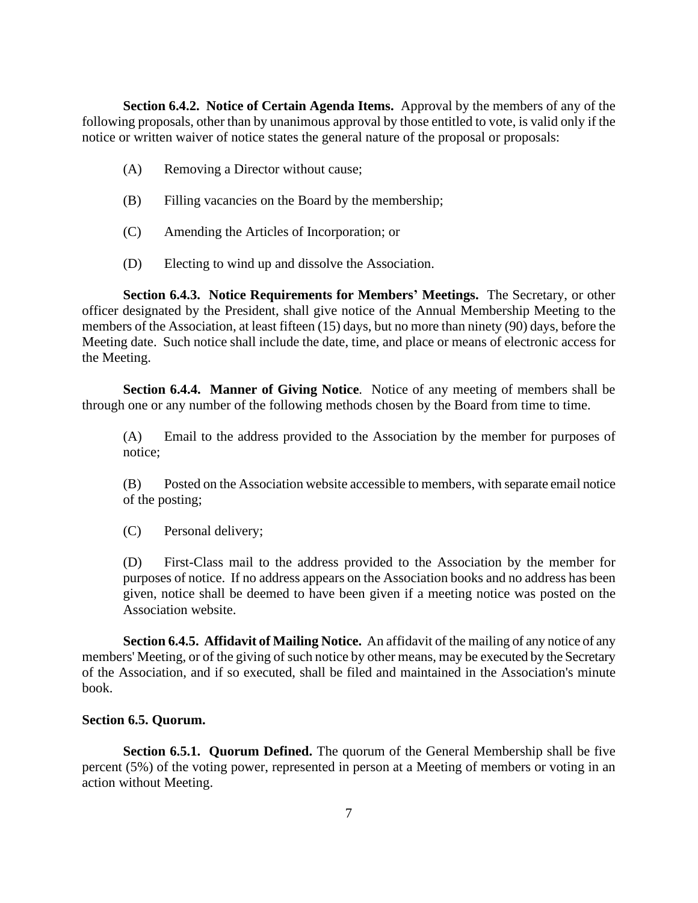**Section 6.4.2. Notice of Certain Agenda Items.** Approval by the members of any of the following proposals, other than by unanimous approval by those entitled to vote, is valid only if the notice or written waiver of notice states the general nature of the proposal or proposals:

- (A) Removing a Director without cause;
- (B) Filling vacancies on the Board by the membership;
- (C) Amending the Articles of Incorporation; or
- (D) Electing to wind up and dissolve the Association.

**Section 6.4.3. Notice Requirements for Members' Meetings.** The Secretary, or other officer designated by the President, shall give notice of the Annual Membership Meeting to the members of the Association, at least fifteen (15) days, but no more than ninety (90) days, before the Meeting date. Such notice shall include the date, time, and place or means of electronic access for the Meeting.

**Section 6.4.4. Manner of Giving Notice**. Notice of any meeting of members shall be through one or any number of the following methods chosen by the Board from time to time.

(A) Email to the address provided to the Association by the member for purposes of notice;

(B) Posted on the Association website accessible to members, with separate email notice of the posting;

(C) Personal delivery;

(D) First-Class mail to the address provided to the Association by the member for purposes of notice. If no address appears on the Association books and no address has been given, notice shall be deemed to have been given if a meeting notice was posted on the Association website.

**Section 6.4.5. Affidavit of Mailing Notice.** An affidavit of the mailing of any notice of any members' Meeting, or of the giving of such notice by other means, may be executed by the Secretary of the Association, and if so executed, shall be filed and maintained in the Association's minute book.

#### **Section 6.5. Quorum.**

**Section 6.5.1. Quorum Defined.** The quorum of the General Membership shall be five percent (5%) of the voting power, represented in person at a Meeting of members or voting in an action without Meeting.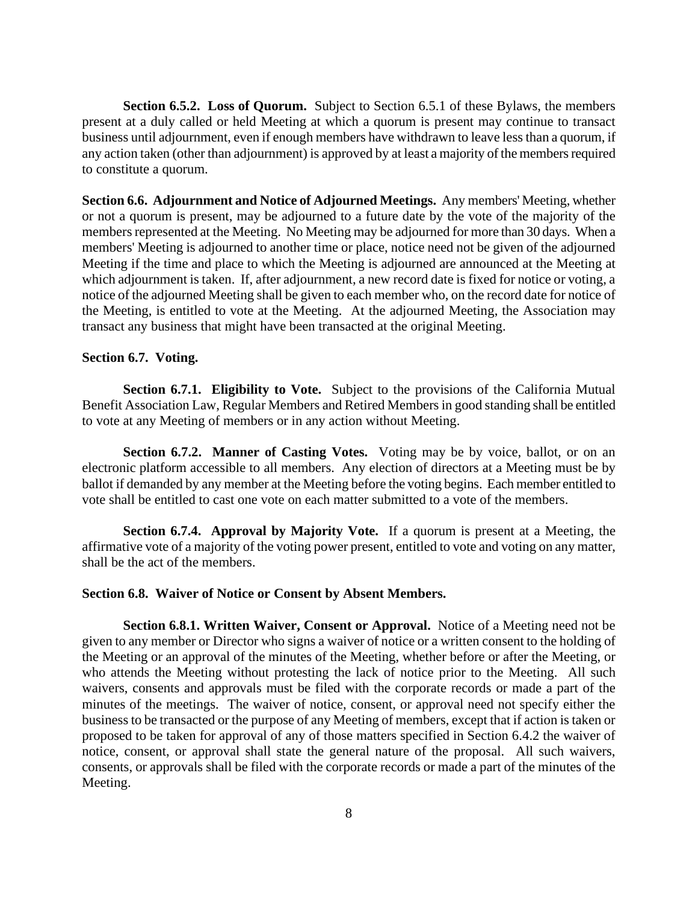**Section 6.5.2. Loss of Quorum.** Subject to Section 6.5.1 of these Bylaws, the members present at a duly called or held Meeting at which a quorum is present may continue to transact business until adjournment, even if enough members have withdrawn to leave less than a quorum, if any action taken (other than adjournment) is approved by at least a majority of the members required to constitute a quorum.

**Section 6.6. Adjournment and Notice of Adjourned Meetings.** Any members' Meeting, whether or not a quorum is present, may be adjourned to a future date by the vote of the majority of the members represented at the Meeting. No Meeting may be adjourned for more than 30 days. When a members' Meeting is adjourned to another time or place, notice need not be given of the adjourned Meeting if the time and place to which the Meeting is adjourned are announced at the Meeting at which adjournment is taken. If, after adjournment, a new record date is fixed for notice or voting, a notice of the adjourned Meeting shall be given to each member who, on the record date for notice of the Meeting, is entitled to vote at the Meeting. At the adjourned Meeting, the Association may transact any business that might have been transacted at the original Meeting.

#### **Section 6.7. Voting.**

**Section 6.7.1. Eligibility to Vote.** Subject to the provisions of the California Mutual Benefit Association Law, Regular Members and Retired Members in good standing shall be entitled to vote at any Meeting of members or in any action without Meeting.

**Section 6.7.2. Manner of Casting Votes.** Voting may be by voice, ballot, or on an electronic platform accessible to all members. Any election of directors at a Meeting must be by ballot if demanded by any member at the Meeting before the voting begins. Each member entitled to vote shall be entitled to cast one vote on each matter submitted to a vote of the members.

**Section 6.7.4. Approval by Majority Vote.** If a quorum is present at a Meeting, the affirmative vote of a majority of the voting power present, entitled to vote and voting on any matter, shall be the act of the members.

#### **Section 6.8. Waiver of Notice or Consent by Absent Members.**

**Section 6.8.1. Written Waiver, Consent or Approval.** Notice of a Meeting need not be given to any member or Director who signs a waiver of notice or a written consent to the holding of the Meeting or an approval of the minutes of the Meeting, whether before or after the Meeting, or who attends the Meeting without protesting the lack of notice prior to the Meeting. All such waivers, consents and approvals must be filed with the corporate records or made a part of the minutes of the meetings. The waiver of notice, consent, or approval need not specify either the business to be transacted or the purpose of any Meeting of members, except that if action is taken or proposed to be taken for approval of any of those matters specified in Section 6.4.2 the waiver of notice, consent, or approval shall state the general nature of the proposal. All such waivers, consents, or approvals shall be filed with the corporate records or made a part of the minutes of the Meeting.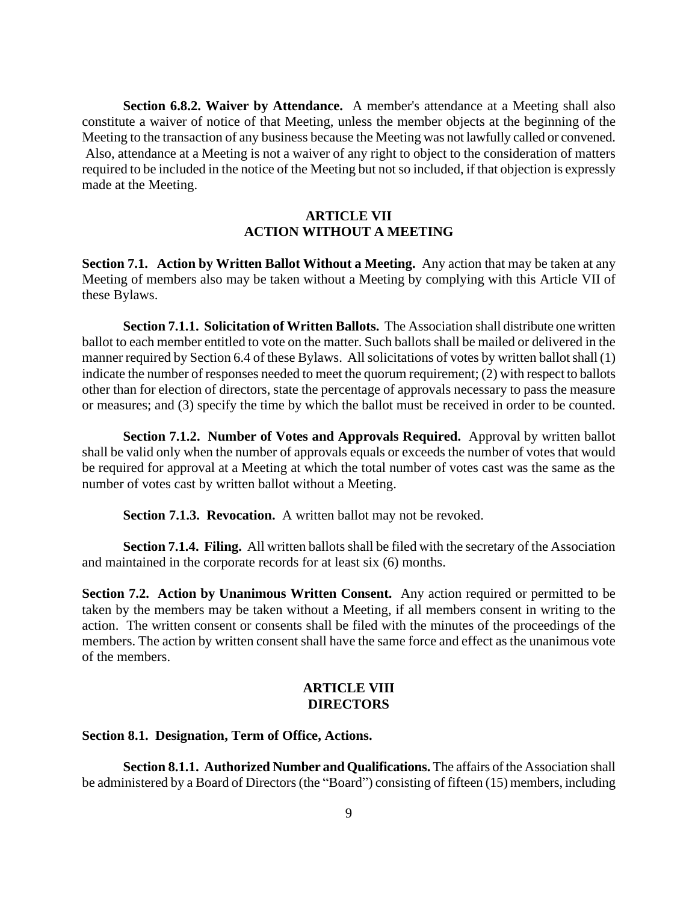**Section 6.8.2. Waiver by Attendance.** A member's attendance at a Meeting shall also constitute a waiver of notice of that Meeting, unless the member objects at the beginning of the Meeting to the transaction of any business because the Meeting was not lawfully called or convened. Also, attendance at a Meeting is not a waiver of any right to object to the consideration of matters required to be included in the notice of the Meeting but not so included, if that objection is expressly made at the Meeting.

### **ARTICLE VII ACTION WITHOUT A MEETING**

**Section 7.1. Action by Written Ballot Without a Meeting.** Any action that may be taken at any Meeting of members also may be taken without a Meeting by complying with this Article VII of these Bylaws.

**Section 7.1.1. Solicitation of Written Ballots.** The Association shall distribute one written ballot to each member entitled to vote on the matter. Such ballots shall be mailed or delivered in the manner required by Section 6.4 of these Bylaws. All solicitations of votes by written ballot shall (1) indicate the number of responses needed to meet the quorum requirement; (2) with respect to ballots other than for election of directors, state the percentage of approvals necessary to pass the measure or measures; and (3) specify the time by which the ballot must be received in order to be counted.

**Section 7.1.2. Number of Votes and Approvals Required.** Approval by written ballot shall be valid only when the number of approvals equals or exceeds the number of votes that would be required for approval at a Meeting at which the total number of votes cast was the same as the number of votes cast by written ballot without a Meeting.

**Section 7.1.3. Revocation.** A written ballot may not be revoked.

**Section 7.1.4. Filing.** All written ballots shall be filed with the secretary of the Association and maintained in the corporate records for at least six (6) months.

**Section 7.2. Action by Unanimous Written Consent.** Any action required or permitted to be taken by the members may be taken without a Meeting, if all members consent in writing to the action. The written consent or consents shall be filed with the minutes of the proceedings of the members. The action by written consent shall have the same force and effect as the unanimous vote of the members.

### **ARTICLE VIII DIRECTORS**

#### **Section 8.1. Designation, Term of Office, Actions.**

**Section 8.1.1. Authorized Number and Qualifications.** The affairs of the Association shall be administered by a Board of Directors (the "Board") consisting of fifteen (15) members, including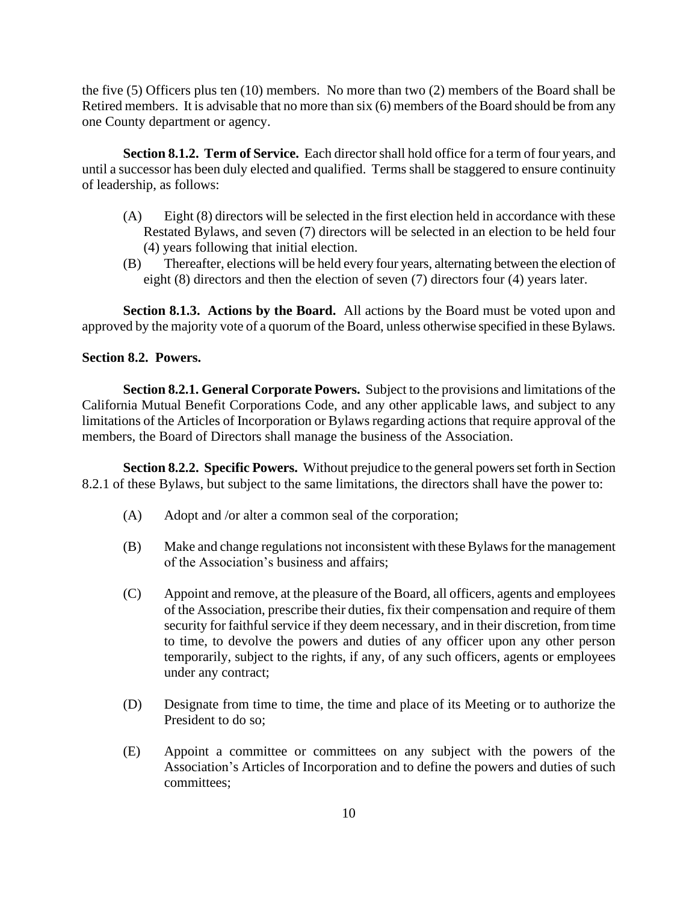the five (5) Officers plus ten (10) members. No more than two (2) members of the Board shall be Retired members. It is advisable that no more than six (6) members of the Board should be from any one County department or agency.

**Section 8.1.2. Term of Service.** Each director shall hold office for a term of four years*,* and until a successor has been duly elected and qualified. Terms shall be staggered to ensure continuity of leadership, as follows:

- (A) Eight (8) directors will be selected in the first election held in accordance with these Restated Bylaws, and seven (7) directors will be selected in an election to be held four (4) years following that initial election.
- (B) Thereafter, elections will be held every four years, alternating between the election of eight (8) directors and then the election of seven (7) directors four (4) years later.

**Section 8.1.3. Actions by the Board.** All actions by the Board must be voted upon and approved by the majority vote of a quorum of the Board, unless otherwise specified in these Bylaws.

### **Section 8.2. Powers.**

**Section 8.2.1. General Corporate Powers.** Subject to the provisions and limitations of the California Mutual Benefit Corporations Code, and any other applicable laws, and subject to any limitations of the Articles of Incorporation or Bylaws regarding actions that require approval of the members, the Board of Directors shall manage the business of the Association.

**Section 8.2.2. Specific Powers.** Without prejudice to the general powers set forth in Section 8.2.1 of these Bylaws, but subject to the same limitations, the directors shall have the power to:

- (A) Adopt and /or alter a common seal of the corporation;
- (B) Make and change regulations not inconsistent with these Bylaws for the management of the Association's business and affairs;
- (C) Appoint and remove, at the pleasure of the Board, all officers, agents and employees of the Association, prescribe their duties, fix their compensation and require of them security for faithful service if they deem necessary, and in their discretion, from time to time, to devolve the powers and duties of any officer upon any other person temporarily, subject to the rights, if any, of any such officers, agents or employees under any contract;
- (D) Designate from time to time, the time and place of its Meeting or to authorize the President to do so;
- (E) Appoint a committee or committees on any subject with the powers of the Association's Articles of Incorporation and to define the powers and duties of such committees;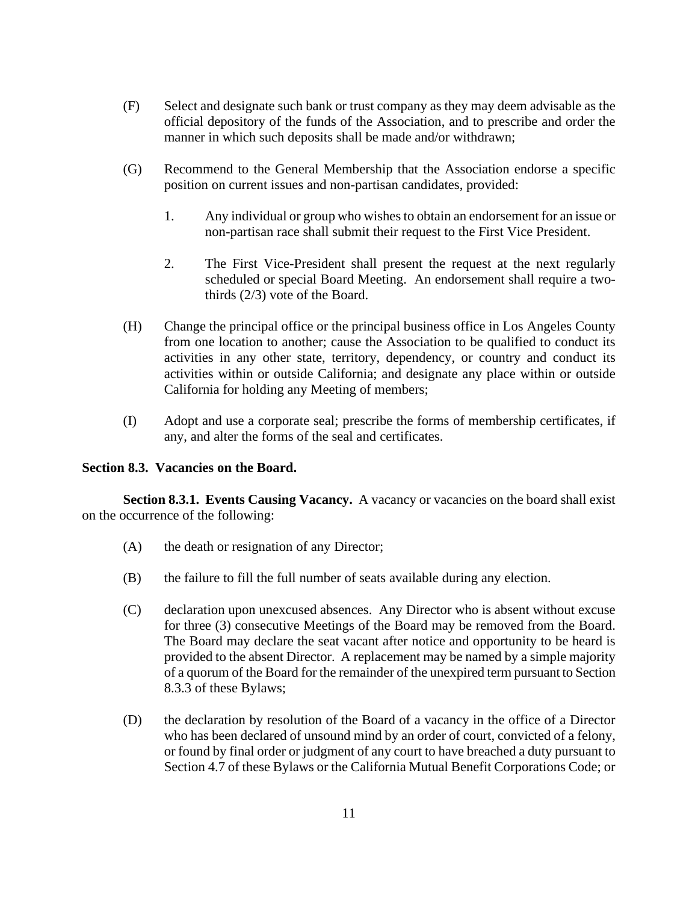- (F) Select and designate such bank or trust company as they may deem advisable as the official depository of the funds of the Association, and to prescribe and order the manner in which such deposits shall be made and/or withdrawn;
- (G) Recommend to the General Membership that the Association endorse a specific position on current issues and non-partisan candidates, provided:
	- 1. Any individual or group who wishes to obtain an endorsement for an issue or non-partisan race shall submit their request to the First Vice President.
	- 2. The First Vice-President shall present the request at the next regularly scheduled or special Board Meeting. An endorsement shall require a twothirds (2/3) vote of the Board.
- (H) Change the principal office or the principal business office in Los Angeles County from one location to another; cause the Association to be qualified to conduct its activities in any other state, territory, dependency, or country and conduct its activities within or outside California; and designate any place within or outside California for holding any Meeting of members;
- (I) Adopt and use a corporate seal; prescribe the forms of membership certificates, if any, and alter the forms of the seal and certificates.

### **Section 8.3. Vacancies on the Board.**

**Section 8.3.1. Events Causing Vacancy.** A vacancy or vacancies on the board shall exist on the occurrence of the following:

- (A) the death or resignation of any Director;
- (B) the failure to fill the full number of seats available during any election.
- (C) declaration upon unexcused absences. Any Director who is absent without excuse for three (3) consecutive Meetings of the Board may be removed from the Board. The Board may declare the seat vacant after notice and opportunity to be heard is provided to the absent Director. A replacement may be named by a simple majority of a quorum of the Board for the remainder of the unexpired term pursuant to Section 8.3.3 of these Bylaws;
- (D) the declaration by resolution of the Board of a vacancy in the office of a Director who has been declared of unsound mind by an order of court, convicted of a felony, or found by final order or judgment of any court to have breached a duty pursuant to Section 4.7 of these Bylaws or the California Mutual Benefit Corporations Code; or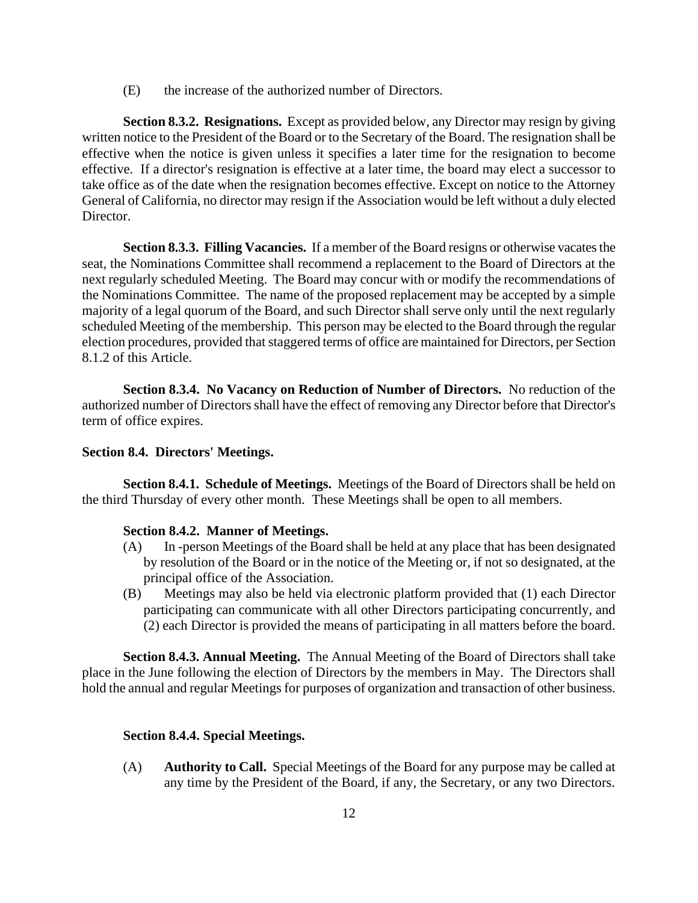(E) the increase of the authorized number of Directors.

**Section 8.3.2. Resignations.** Except as provided below, any Director may resign by giving written notice to the President of the Board or to the Secretary of the Board. The resignation shall be effective when the notice is given unless it specifies a later time for the resignation to become effective. If a director's resignation is effective at a later time, the board may elect a successor to take office as of the date when the resignation becomes effective. Except on notice to the Attorney General of California, no director may resign if the Association would be left without a duly elected Director.

**Section 8.3.3. Filling Vacancies.** If a member of the Board resigns or otherwise vacates the seat, the Nominations Committee shall recommend a replacement to the Board of Directors at the next regularly scheduled Meeting. The Board may concur with or modify the recommendations of the Nominations Committee. The name of the proposed replacement may be accepted by a simple majority of a legal quorum of the Board, and such Director shall serve only until the next regularly scheduled Meeting of the membership. This person may be elected to the Board through the regular election procedures, provided that staggered terms of office are maintained for Directors, per Section 8.1.2 of this Article.

**Section 8.3.4. No Vacancy on Reduction of Number of Directors.** No reduction of the authorized number of Directors shall have the effect of removing any Director before that Director's term of office expires.

#### **Section 8.4. Directors' Meetings.**

**Section 8.4.1. Schedule of Meetings.** Meetings of the Board of Directors shall be held on the third Thursday of every other month. These Meetings shall be open to all members.

#### **Section 8.4.2. Manner of Meetings.**

- (A) In -person Meetings of the Board shall be held at any place that has been designated by resolution of the Board or in the notice of the Meeting or, if not so designated, at the principal office of the Association.
- (B) Meetings may also be held via electronic platform provided that (1) each Director participating can communicate with all other Directors participating concurrently, and (2) each Director is provided the means of participating in all matters before the board.

**Section 8.4.3. Annual Meeting.** The Annual Meeting of the Board of Directors shall take place in the June following the election of Directors by the members in May. The Directors shall hold the annual and regular Meetings for purposes of organization and transaction of other business.

#### **Section 8.4.4. Special Meetings.**

(A) **Authority to Call.** Special Meetings of the Board for any purpose may be called at any time by the President of the Board, if any, the Secretary, or any two Directors.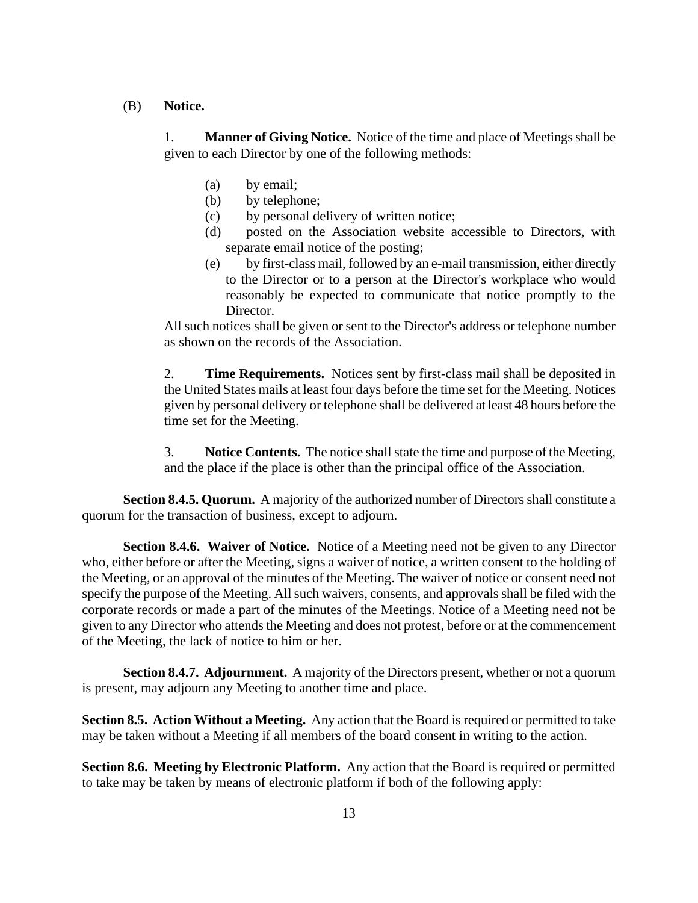(B) **Notice.**

1. **Manner of Giving Notice.** Notice of the time and place of Meetings shall be given to each Director by one of the following methods:

- (a) by email;
- (b) by telephone;
- (c) by personal delivery of written notice;
- (d) posted on the Association website accessible to Directors, with separate email notice of the posting;
- (e) by first-class mail, followed by an e-mail transmission, either directly to the Director or to a person at the Director's workplace who would reasonably be expected to communicate that notice promptly to the Director.

All such notices shall be given or sent to the Director's address or telephone number as shown on the records of the Association.

2. **Time Requirements.** Notices sent by first-class mail shall be deposited in the United States mails at least four days before the time set for the Meeting. Notices given by personal delivery or telephone shall be delivered at least 48 hours before the time set for the Meeting.

3. **Notice Contents.** The notice shall state the time and purpose of the Meeting, and the place if the place is other than the principal office of the Association.

**Section 8.4.5. Quorum.** A majority of the authorized number of Directors shall constitute a quorum for the transaction of business, except to adjourn.

**Section 8.4.6. Waiver of Notice.** Notice of a Meeting need not be given to any Director who, either before or after the Meeting, signs a waiver of notice, a written consent to the holding of the Meeting, or an approval of the minutes of the Meeting. The waiver of notice or consent need not specify the purpose of the Meeting. All such waivers, consents, and approvals shall be filed with the corporate records or made a part of the minutes of the Meetings. Notice of a Meeting need not be given to any Director who attends the Meeting and does not protest, before or at the commencement of the Meeting, the lack of notice to him or her.

**Section 8.4.7. Adjournment.** A majority of the Directors present, whether or not a quorum is present, may adjourn any Meeting to another time and place.

**Section 8.5. Action Without a Meeting.** Any action that the Board is required or permitted to take may be taken without a Meeting if all members of the board consent in writing to the action.

**Section 8.6. Meeting by Electronic Platform.** Any action that the Board is required or permitted to take may be taken by means of electronic platform if both of the following apply: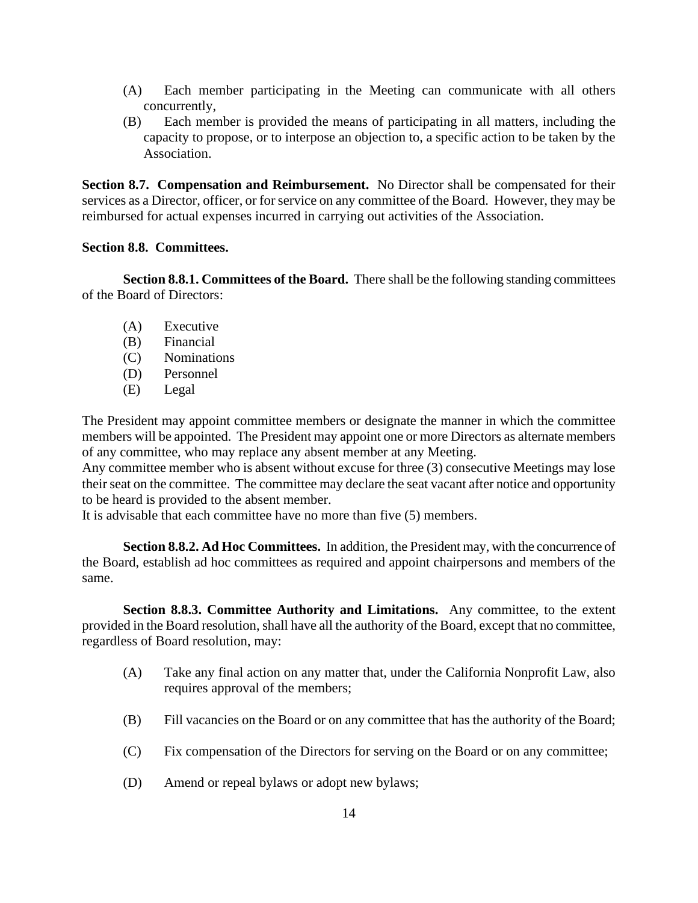- (A) Each member participating in the Meeting can communicate with all others concurrently,
- (B) Each member is provided the means of participating in all matters, including the capacity to propose, or to interpose an objection to, a specific action to be taken by the Association.

**Section 8.7. Compensation and Reimbursement.** No Director shall be compensated for their services as a Director, officer, or for service on any committee of the Board. However, they may be reimbursed for actual expenses incurred in carrying out activities of the Association.

### **Section 8.8. Committees.**

**Section 8.8.1. Committees of the Board.** There shall be the following standing committees of the Board of Directors:

- (A) Executive
- (B) Financial
- (C) Nominations
- (D) Personnel
- (E) Legal

The President may appoint committee members or designate the manner in which the committee members will be appointed. The President may appoint one or more Directors as alternate members of any committee, who may replace any absent member at any Meeting.

Any committee member who is absent without excuse for three (3) consecutive Meetings may lose their seat on the committee. The committee may declare the seat vacant after notice and opportunity to be heard is provided to the absent member.

It is advisable that each committee have no more than five (5) members.

**Section 8.8.2. Ad Hoc Committees.** In addition, the President may, with the concurrence of the Board, establish ad hoc committees as required and appoint chairpersons and members of the same.

**Section 8.8.3. Committee Authority and Limitations.** Any committee, to the extent provided in the Board resolution, shall have all the authority of the Board, except that no committee, regardless of Board resolution, may:

- (A) Take any final action on any matter that, under the California Nonprofit Law, also requires approval of the members;
- (B) Fill vacancies on the Board or on any committee that has the authority of the Board;
- (C) Fix compensation of the Directors for serving on the Board or on any committee;
- (D) Amend or repeal bylaws or adopt new bylaws;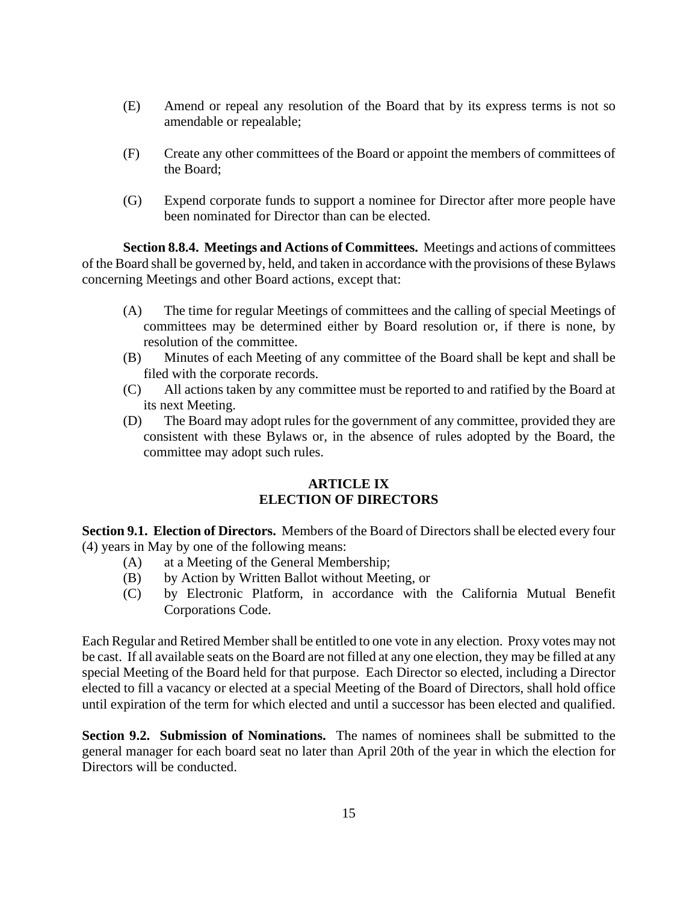- (E) Amend or repeal any resolution of the Board that by its express terms is not so amendable or repealable;
- (F) Create any other committees of the Board or appoint the members of committees of the Board;
- (G) Expend corporate funds to support a nominee for Director after more people have been nominated for Director than can be elected.

**Section 8.8.4. Meetings and Actions of Committees.** Meetings and actions of committees of the Board shall be governed by, held, and taken in accordance with the provisions of these Bylaws concerning Meetings and other Board actions, except that:

- (A) The time for regular Meetings of committees and the calling of special Meetings of committees may be determined either by Board resolution or, if there is none, by resolution of the committee.
- (B) Minutes of each Meeting of any committee of the Board shall be kept and shall be filed with the corporate records.
- (C) All actions taken by any committee must be reported to and ratified by the Board at its next Meeting.
- (D) The Board may adopt rules for the government of any committee, provided they are consistent with these Bylaws or, in the absence of rules adopted by the Board, the committee may adopt such rules.

### **ARTICLE IX ELECTION OF DIRECTORS**

**Section 9.1. Election of Directors.** Members of the Board of Directors shall be elected every four (4) years in May by one of the following means:

- (A) at a Meeting of the General Membership;
- (B) by Action by Written Ballot without Meeting, or
- (C) by Electronic Platform, in accordance with the California Mutual Benefit Corporations Code.

Each Regular and Retired Member shall be entitled to one vote in any election. Proxy votes may not be cast. If all available seats on the Board are not filled at any one election, they may be filled at any special Meeting of the Board held for that purpose. Each Director so elected, including a Director elected to fill a vacancy or elected at a special Meeting of the Board of Directors, shall hold office until expiration of the term for which elected and until a successor has been elected and qualified.

**Section 9.2. Submission of Nominations.** The names of nominees shall be submitted to the general manager for each board seat no later than April 20th of the year in which the election for Directors will be conducted.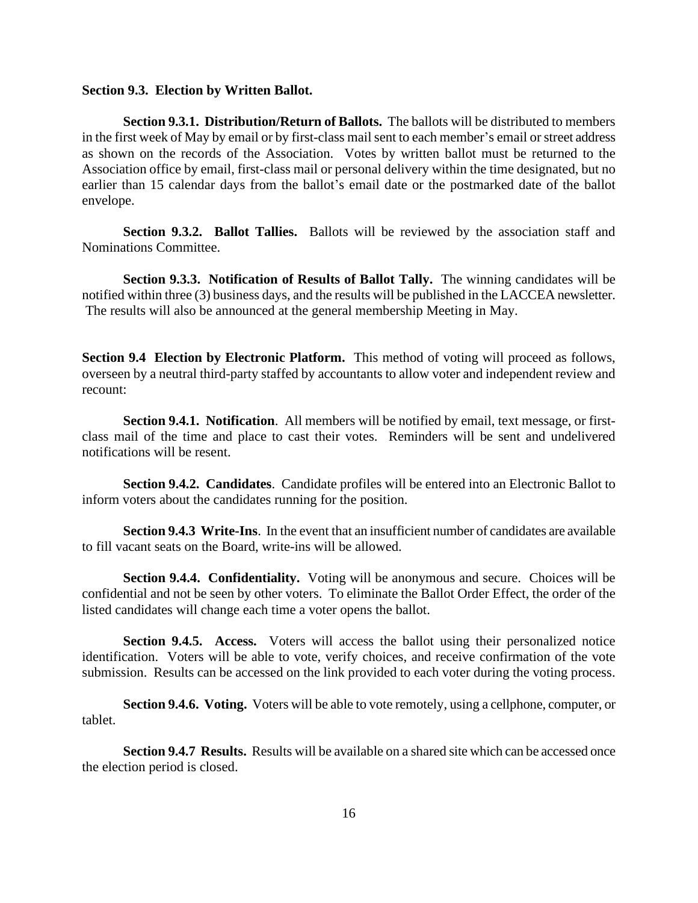#### **Section 9.3. Election by Written Ballot.**

**Section 9.3.1. Distribution/Return of Ballots.** The ballots will be distributed to members in the first week of May by email or by first-class mail sent to each member's email or street address as shown on the records of the Association. Votes by written ballot must be returned to the Association office by email, first-class mail or personal delivery within the time designated, but no earlier than 15 calendar days from the ballot's email date or the postmarked date of the ballot envelope.

**Section 9.3.2. Ballot Tallies.** Ballots will be reviewed by the association staff and Nominations Committee.

**Section 9.3.3. Notification of Results of Ballot Tally.** The winning candidates will be notified within three (3) business days, and the results will be published in the LACCEA newsletter. The results will also be announced at the general membership Meeting in May.

**Section 9.4 Election by Electronic Platform.** This method of voting will proceed as follows, overseen by a neutral third-party staffed by accountants to allow voter and independent review and recount:

**Section 9.4.1. Notification**. All members will be notified by email, text message, or firstclass mail of the time and place to cast their votes. Reminders will be sent and undelivered notifications will be resent.

**Section 9.4.2. Candidates**. Candidate profiles will be entered into an Electronic Ballot to inform voters about the candidates running for the position.

**Section 9.4.3 Write-Ins**. In the event that an insufficient number of candidates are available to fill vacant seats on the Board, write-ins will be allowed.

**Section 9.4.4. Confidentiality.** Voting will be anonymous and secure. Choices will be confidential and not be seen by other voters. To eliminate the Ballot Order Effect, the order of the listed candidates will change each time a voter opens the ballot.

**Section 9.4.5. Access.** Voters will access the ballot using their personalized notice identification. Voters will be able to vote, verify choices, and receive confirmation of the vote submission. Results can be accessed on the link provided to each voter during the voting process.

**Section 9.4.6. Voting.** Voters will be able to vote remotely, using a cellphone, computer, or tablet.

**Section 9.4.7 Results.** Results will be available on a shared site which can be accessed once the election period is closed.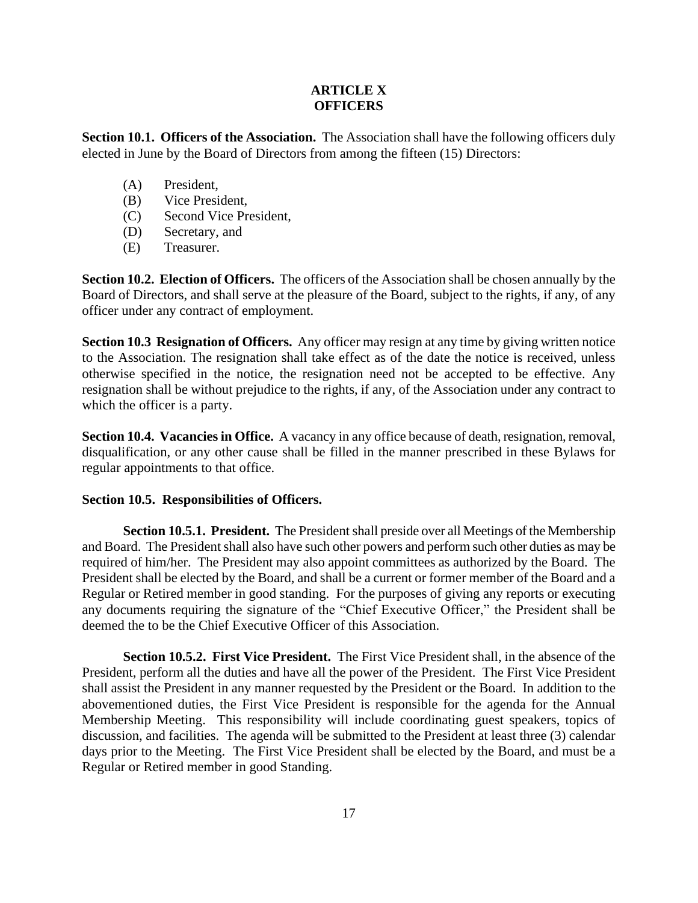### **ARTICLE X OFFICERS**

**Section 10.1. Officers of the Association.** The Association shall have the following officers duly elected in June by the Board of Directors from among the fifteen (15) Directors:

- (A) President,
- (B) Vice President,
- (C) Second Vice President,
- (D) Secretary, and
- (E) Treasurer.

**Section 10.2. Election of Officers.** The officers of the Association shall be chosen annually by the Board of Directors, and shall serve at the pleasure of the Board, subject to the rights, if any, of any officer under any contract of employment.

**Section 10.3 Resignation of Officers.** Any officer may resign at any time by giving written notice to the Association. The resignation shall take effect as of the date the notice is received, unless otherwise specified in the notice, the resignation need not be accepted to be effective. Any resignation shall be without prejudice to the rights, if any, of the Association under any contract to which the officer is a party.

**Section 10.4. Vacancies in Office.** A vacancy in any office because of death, resignation, removal, disqualification, or any other cause shall be filled in the manner prescribed in these Bylaws for regular appointments to that office.

### **Section 10.5. Responsibilities of Officers.**

**Section 10.5.1. President.** The President shall preside over all Meetings of the Membership and Board. The President shall also have such other powers and perform such other duties as may be required of him/her.The President may also appoint committees as authorized by the Board. The President shall be elected by the Board, and shall be a current or former member of the Board and a Regular or Retired member in good standing.For the purposes of giving any reports or executing any documents requiring the signature of the "Chief Executive Officer," the President shall be deemed the to be the Chief Executive Officer of this Association.

**Section 10.5.2. First Vice President.** The First Vice President shall, in the absence of the President, perform all the duties and have all the power of the President. The First Vice President shall assist the President in any manner requested by the President or the Board. In addition to the abovementioned duties, the First Vice President is responsible for the agenda for the Annual Membership Meeting. This responsibility will include coordinating guest speakers, topics of discussion, and facilities. The agenda will be submitted to the President at least three (3) calendar days prior to the Meeting. The First Vice President shall be elected by the Board, and must be a Regular or Retired member in good Standing.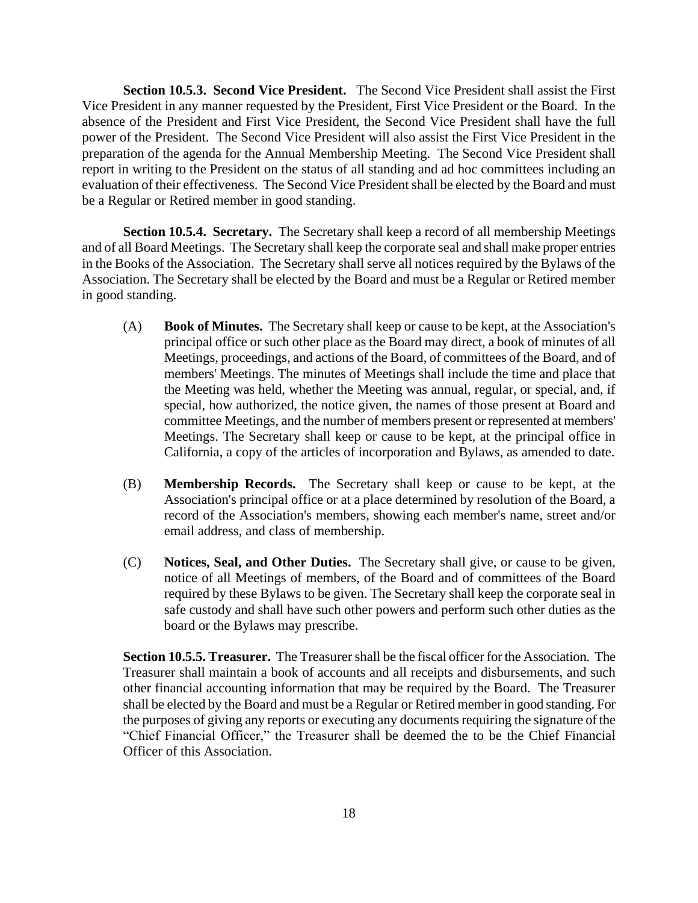**Section 10.5.3. Second Vice President.** The Second Vice President shall assist the First Vice President in any manner requested by the President, First Vice President or the Board. In the absence of the President and First Vice President, the Second Vice President shall have the full power of the President. The Second Vice President will also assist the First Vice President in the preparation of the agenda for the Annual Membership Meeting. The Second Vice President shall report in writing to the President on the status of all standing and ad hoc committees including an evaluation of their effectiveness. The Second Vice President shall be elected by the Board and must be a Regular or Retired member in good standing.

**Section 10.5.4. Secretary.** The Secretary shall keep a record of all membership Meetings and of all Board Meetings. The Secretary shall keep the corporate seal and shall make proper entries in the Books of the Association. The Secretary shall serve all notices required by the Bylaws of the Association. The Secretary shall be elected by the Board and must be a Regular or Retired member in good standing.

- (A) **Book of Minutes.** The Secretary shall keep or cause to be kept, at the Association's principal office or such other place as the Board may direct, a book of minutes of all Meetings, proceedings, and actions of the Board, of committees of the Board, and of members' Meetings. The minutes of Meetings shall include the time and place that the Meeting was held, whether the Meeting was annual, regular, or special, and, if special, how authorized, the notice given, the names of those present at Board and committee Meetings, and the number of members present or represented at members' Meetings. The Secretary shall keep or cause to be kept, at the principal office in California, a copy of the articles of incorporation and Bylaws, as amended to date.
- (B) **Membership Records.** The Secretary shall keep or cause to be kept, at the Association's principal office or at a place determined by resolution of the Board, a record of the Association's members, showing each member's name, street and/or email address, and class of membership.
- (C) **Notices, Seal, and Other Duties.** The Secretary shall give, or cause to be given, notice of all Meetings of members, of the Board and of committees of the Board required by these Bylaws to be given. The Secretary shall keep the corporate seal in safe custody and shall have such other powers and perform such other duties as the board or the Bylaws may prescribe.

**Section 10.5.5. Treasurer.** The Treasurer shall be the fiscal officer for the Association. The Treasurer shall maintain a book of accounts and all receipts and disbursements, and such other financial accounting information that may be required by the Board. The Treasurer shall be elected by the Board and must be a Regular or Retired member in good standing. For the purposes of giving any reports or executing any documents requiring the signature of the "Chief Financial Officer," the Treasurer shall be deemed the to be the Chief Financial Officer of this Association.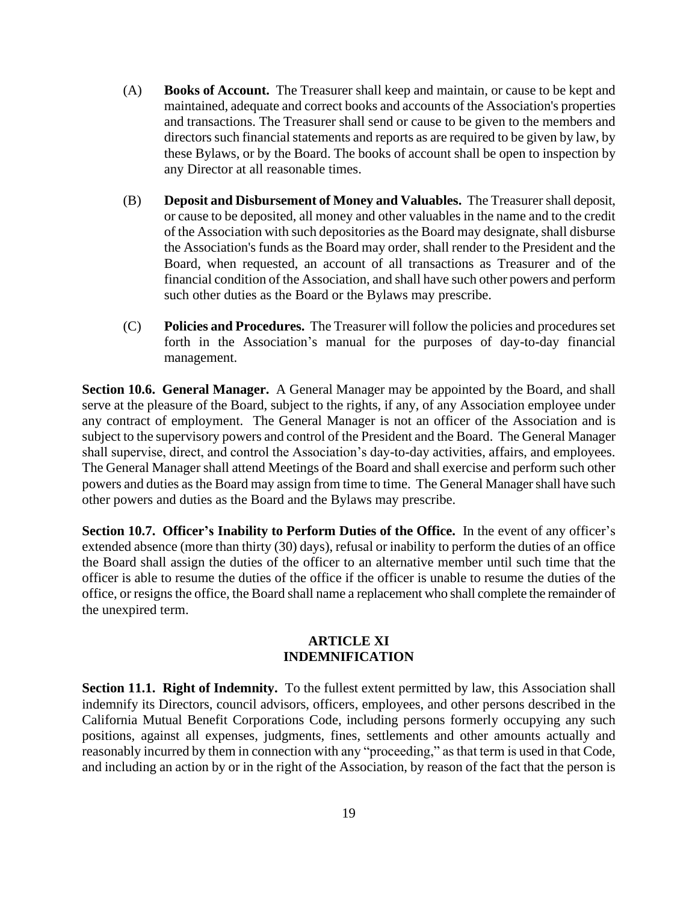- (A) **Books of Account.** The Treasurer shall keep and maintain, or cause to be kept and maintained, adequate and correct books and accounts of the Association's properties and transactions. The Treasurer shall send or cause to be given to the members and directors such financial statements and reports as are required to be given by law, by these Bylaws, or by the Board. The books of account shall be open to inspection by any Director at all reasonable times.
- (B) **Deposit and Disbursement of Money and Valuables.** The Treasurer shall deposit, or cause to be deposited, all money and other valuables in the name and to the credit of the Association with such depositories as the Board may designate, shall disburse the Association's funds as the Board may order, shall render to the President and the Board, when requested, an account of all transactions as Treasurer and of the financial condition of the Association, and shall have such other powers and perform such other duties as the Board or the Bylaws may prescribe.
- (C) **Policies and Procedures.** The Treasurer will follow the policies and procedures set forth in the Association's manual for the purposes of day-to-day financial management.

**Section 10.6. General Manager.** A General Manager may be appointed by the Board, and shall serve at the pleasure of the Board, subject to the rights, if any, of any Association employee under any contract of employment. The General Manager is not an officer of the Association and is subject to the supervisory powers and control of the President and the Board. The General Manager shall supervise, direct, and control the Association's day-to-day activities, affairs, and employees. The General Manager shall attend Meetings of the Board and shall exercise and perform such other powers and duties asthe Board may assign from time to time. The General Manager shall have such other powers and duties as the Board and the Bylaws may prescribe.

**Section 10.7. Officer's Inability to Perform Duties of the Office.** In the event of any officer's extended absence (more than thirty (30) days), refusal or inability to perform the duties of an office the Board shall assign the duties of the officer to an alternative member until such time that the officer is able to resume the duties of the office if the officer is unable to resume the duties of the office, or resigns the office, the Board shall name a replacement who shall complete the remainder of the unexpired term.

#### **ARTICLE XI INDEMNIFICATION**

**Section 11.1. Right of Indemnity.** To the fullest extent permitted by law, this Association shall indemnify its Directors, council advisors, officers, employees, and other persons described in the California Mutual Benefit Corporations Code, including persons formerly occupying any such positions, against all expenses, judgments, fines, settlements and other amounts actually and reasonably incurred by them in connection with any "proceeding," as that term is used in that Code, and including an action by or in the right of the Association, by reason of the fact that the person is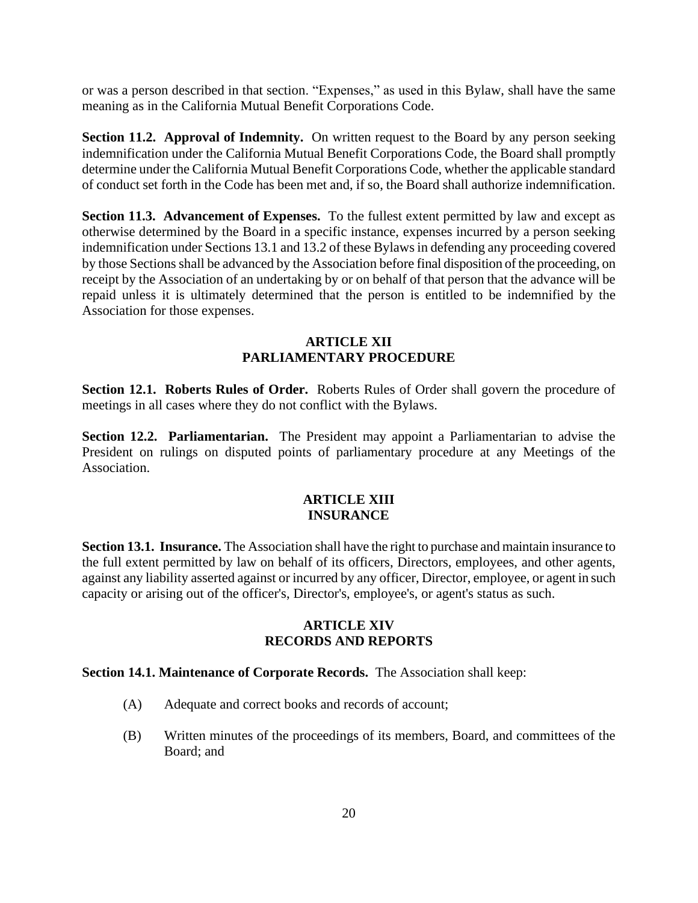or was a person described in that section. "Expenses," as used in this Bylaw, shall have the same meaning as in the California Mutual Benefit Corporations Code.

**Section 11.2. Approval of Indemnity.** On written request to the Board by any person seeking indemnification under the California Mutual Benefit Corporations Code, the Board shall promptly determine under the California Mutual Benefit Corporations Code, whether the applicable standard of conduct set forth in the Code has been met and, if so, the Board shall authorize indemnification.

**Section 11.3. Advancement of Expenses.** To the fullest extent permitted by law and except as otherwise determined by the Board in a specific instance, expenses incurred by a person seeking indemnification under Sections 13.1 and 13.2 of these Bylaws in defending any proceeding covered by those Sections shall be advanced by the Association before final disposition of the proceeding, on receipt by the Association of an undertaking by or on behalf of that person that the advance will be repaid unless it is ultimately determined that the person is entitled to be indemnified by the Association for those expenses.

### **ARTICLE XII PARLIAMENTARY PROCEDURE**

**Section 12.1. Roberts Rules of Order.** Roberts Rules of Order shall govern the procedure of meetings in all cases where they do not conflict with the Bylaws.

**Section 12.2. Parliamentarian.** The President may appoint a Parliamentarian to advise the President on rulings on disputed points of parliamentary procedure at any Meetings of the Association.

### **ARTICLE XIII INSURANCE**

**Section 13.1. Insurance.** The Association shall have the right to purchase and maintain insurance to the full extent permitted by law on behalf of its officers, Directors, employees, and other agents, against any liability asserted against or incurred by any officer, Director, employee, or agent in such capacity or arising out of the officer's, Director's, employee's, or agent's status as such.

### **ARTICLE XIV RECORDS AND REPORTS**

#### **Section 14.1. Maintenance of Corporate Records.** The Association shall keep:

- (A) Adequate and correct books and records of account;
- (B) Written minutes of the proceedings of its members, Board, and committees of the Board; and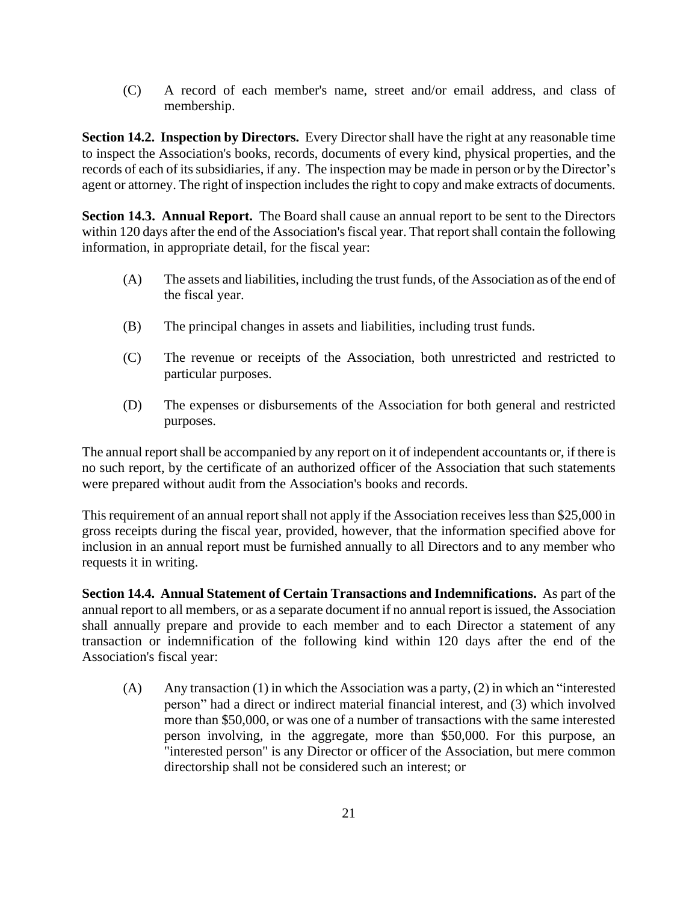(C) A record of each member's name, street and/or email address, and class of membership.

**Section 14.2. Inspection by Directors.** Every Director shall have the right at any reasonable time to inspect the Association's books, records, documents of every kind, physical properties, and the records of each of its subsidiaries, if any. The inspection may be made in person or by the Director's agent or attorney. The right of inspection includes the right to copy and make extracts of documents.

**Section 14.3. Annual Report.** The Board shall cause an annual report to be sent to the Directors within 120 days after the end of the Association's fiscal year. That report shall contain the following information, in appropriate detail, for the fiscal year:

- (A) The assets and liabilities, including the trust funds, of the Association as of the end of the fiscal year.
- (B) The principal changes in assets and liabilities, including trust funds.
- (C) The revenue or receipts of the Association, both unrestricted and restricted to particular purposes.
- (D) The expenses or disbursements of the Association for both general and restricted purposes.

The annual report shall be accompanied by any report on it of independent accountants or, if there is no such report, by the certificate of an authorized officer of the Association that such statements were prepared without audit from the Association's books and records.

This requirement of an annual report shall not apply if the Association receives less than \$25,000 in gross receipts during the fiscal year, provided, however, that the information specified above for inclusion in an annual report must be furnished annually to all Directors and to any member who requests it in writing.

**Section 14.4. Annual Statement of Certain Transactions and Indemnifications.** As part of the annual report to all members, or as a separate document if no annual report is issued, the Association shall annually prepare and provide to each member and to each Director a statement of any transaction or indemnification of the following kind within 120 days after the end of the Association's fiscal year:

(A) Any transaction (1) in which the Association was a party, (2) in which an "interested person" had a direct or indirect material financial interest, and (3) which involved more than \$50,000, or was one of a number of transactions with the same interested person involving, in the aggregate, more than \$50,000. For this purpose, an "interested person" is any Director or officer of the Association, but mere common directorship shall not be considered such an interest; or